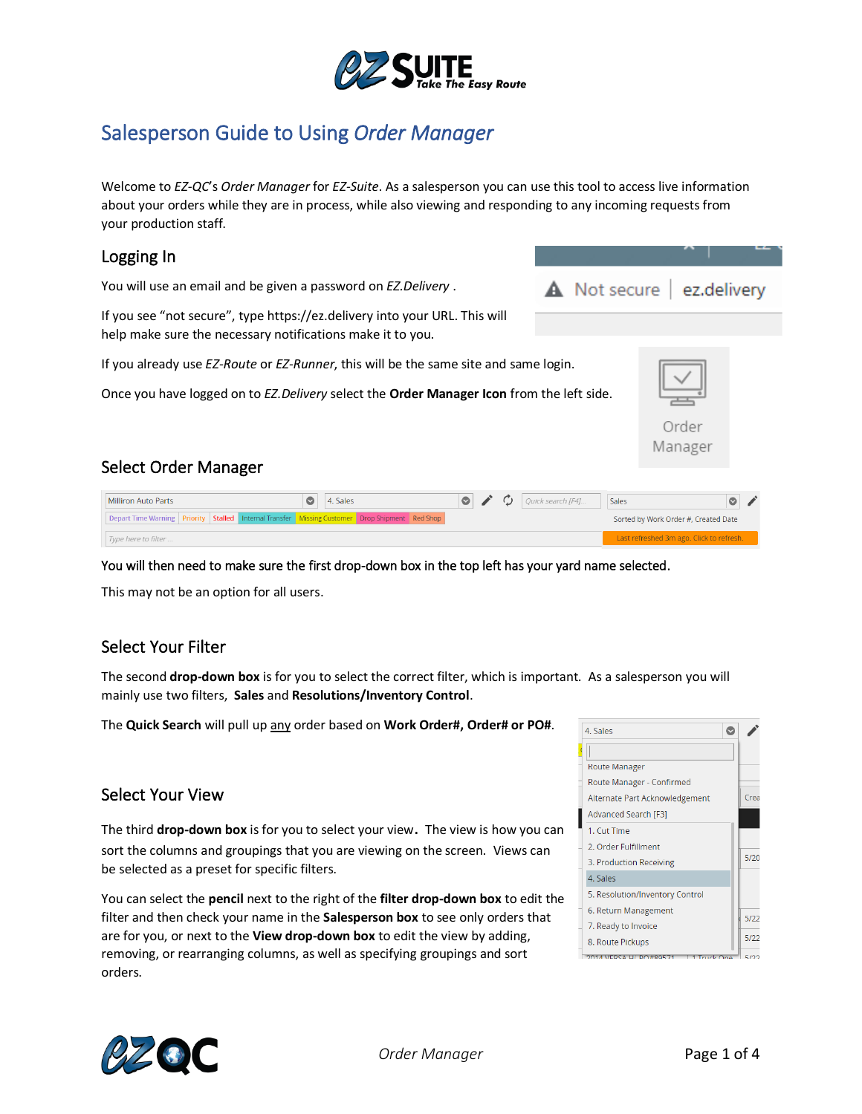

# Salesperson Guide to Using *Order Manager*

Welcome to *EZ-QC*'s *Order Manager* for *EZ-Suite*. As a salesperson you can use this tool to access live information about your orders while they are in process, while also viewing and responding to any incoming requests from your production staff.

### Logging In

You will use an email and be given a password on *EZ.Delivery* .

If you see "not secure", type https://ez.delivery into your URL. This will help make sure the necessary notifications make it to you.

If you already use *EZ-Route* or *EZ-Runner*, this will be the same site and same login.

Once you have logged on to *EZ.Delivery* select the **Order Manager Icon** from the left side.



### Select Order Manager

| Milliron Auto Parts | $\bigcirc$   4. Sales                                                                          | $\circ$ |  | $\mathcal{C}$ Quick search [F4] | Sales                                |  |  |
|---------------------|------------------------------------------------------------------------------------------------|---------|--|---------------------------------|--------------------------------------|--|--|
|                     | Depart Time Warning Priority Stalled Internal Transfer Missing Customer Drop Shipment Red Shop |         |  |                                 | Sorted by Work Order #, Created Date |  |  |
| Type here to filter | Last refreshed 3m ago. Click to refresh.                                                       |         |  |                                 |                                      |  |  |

You will then need to make sure the first drop-down box in the top left has your yard name selected.

This may not be an option for all users.

### Select Your Filter

The second **drop-down box** is for you to select the correct filter, which is important. As a salesperson you will mainly use two filters, **Sales** and **Resolutions/Inventory Control**.

The **Quick Search** will pull up any order based on **Work Order#, Order# or PO#**.

### Select Your View

The third **drop-down box** is for you to select your view. The view is how you can sort the columns and groupings that you are viewing on the screen. Views can be selected as a preset for specific filters.

You can select the **pencil** next to the right of the **filter drop-down box** to edit the filter and then check your name in the **Salesperson box** to see only orders that are for you, or next to the **View drop-down box** to edit the view by adding, removing, or rearranging columns, as well as specifying groupings and sort orders.



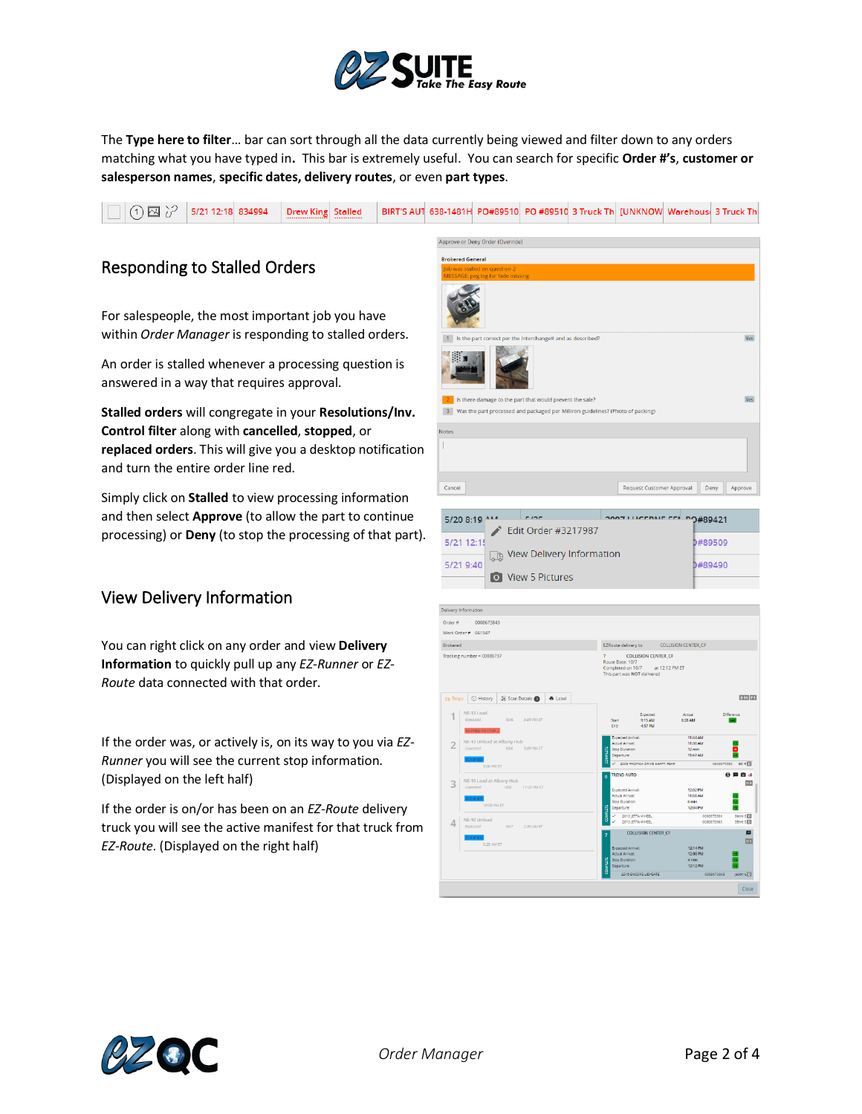

The **Type here to filter**… bar can sort through all the data currently being viewed and filter down to any orders matching what you have typed in**.** This bar is extremely useful. You can search for specific **Order #'s**, **customer or salesperson names**, **specific dates, delivery routes**, or even **part types**.



## Responding to Stalled Orders

For salespeople, the most important job you have within *Order Manager* is responding to stalled orders.

An order is stalled whenever a processing question is answered in a way that requires approval.

**Stalled orders** will congregate in your **Resolutions/Inv. Control filter** along with **cancelled**, **stopped**, or **replaced orders**. This will give you a desktop notification and turn the entire order line red.

Simply click on **Stalled** to view processing information and then select **Approve** (to allow the part to continue processing) or **Deny** (to stop the processing of that part).

## View Delivery Information

You can right click on any order and view **Delivery Information** to quickly pull up any *EZ-Runner* or *EZ-Route* data connected with that order.

If the order was, or actively is, on its way to you via *EZ-Runner* you will see the current stop information. (Displayed on the left half)

If the order is on/or has been on an *EZ-Route* delivery truck you will see the active manifest for that truck from *EZ-Route*. (Displayed on the right half)





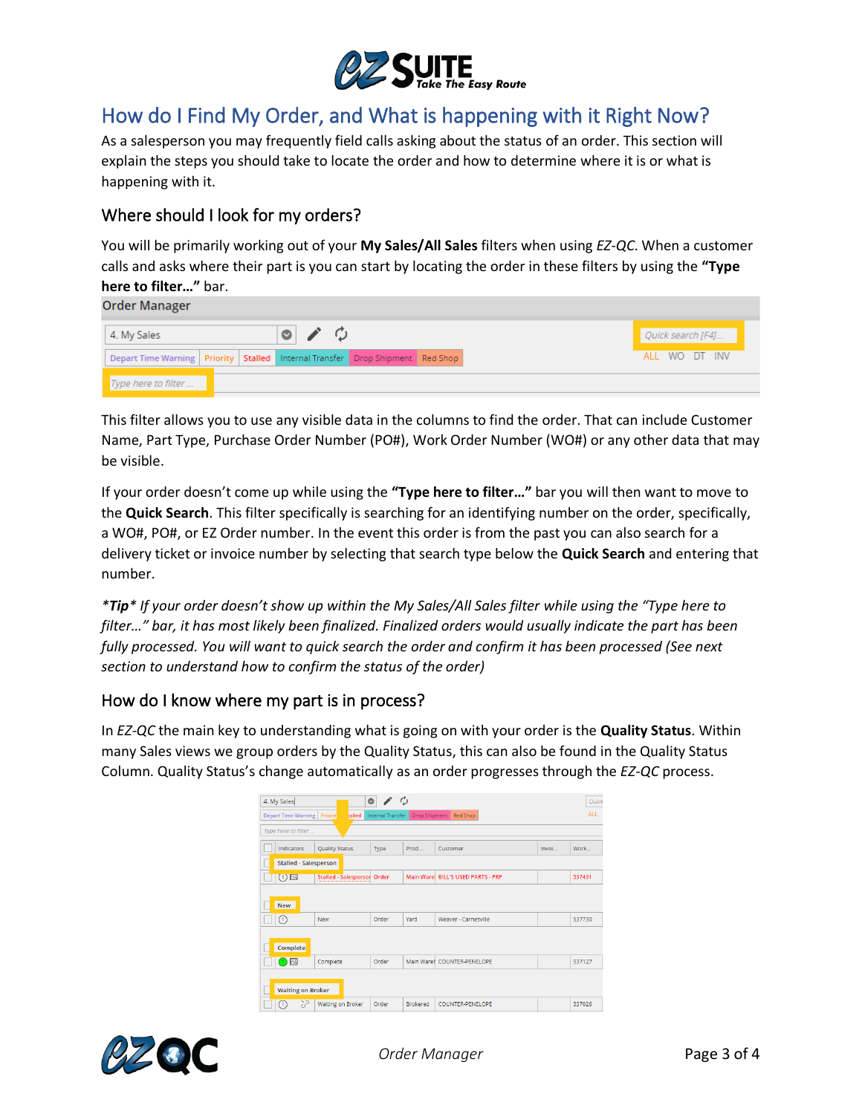

# How do I Find My Order, and What is happening with it Right Now?

As a salesperson you may frequently field calls asking about the status of an order. This section will explain the steps you should take to locate the order and how to determine where it is or what is happening with it.

## Where should I look for my orders?

You will be primarily working out of your **My Sales/All Sales** filters when using *EZ-QC*. When a customer calls and asks where their part is you can start by locating the order in these filters by using the **"Type here to filter…"** bar.

**Order Manager** 

| 4. My Sales                                                                             |  |  | $\circ$ / $\circ$ |  |  |  | Quick search [F4] |  |
|-----------------------------------------------------------------------------------------|--|--|-------------------|--|--|--|-------------------|--|
| Depart Time Warning   Priority   Stalled   Internal Transfer   Drop Shipment   Red Shop |  |  |                   |  |  |  | ALL WO DT INV     |  |
| Type here to filter                                                                     |  |  |                   |  |  |  |                   |  |

This filter allows you to use any visible data in the columns to find the order. That can include Customer Name, Part Type, Purchase Order Number (PO#), Work Order Number (WO#) or any other data that may be visible.

If your order doesn't come up while using the **"Type here to filter…"** bar you will then want to move to the **Quick Search**. This filter specifically is searching for an identifying number on the order, specifically, a WO#, PO#, or EZ Order number. In the event this order is from the past you can also search for a delivery ticket or invoice number by selecting that search type below the **Quick Search** and entering that number.

*\*Tip\* If your order doesn't show up within the My Sales/All Sales filter while using the "Type here to filter…" bar, it has most likely been finalized. Finalized orders would usually indicate the part has been fully processed. You will want to quick search the order and confirm it has been processed (See next section to understand how to confirm the status of the order)*

### How do I know where my part is in process?

In *EZ-QC* the main key to understanding what is going on with your order is the **Quality Status**. Within many Sales views we group orders by the Quality Status, this can also be found in the Quality Status Column. Quality Status's change automatically as an order progresses through the *EZ-QC* process.

|                                                                                                   | 4. My Sales                  |                             | $\circ$ | O               |                                    |       | Quick  |  |  |  |  |  |
|---------------------------------------------------------------------------------------------------|------------------------------|-----------------------------|---------|-----------------|------------------------------------|-------|--------|--|--|--|--|--|
| Priorit<br>talled<br>Drop Shipment<br><b>Depart Time Warning</b><br>Internal Transfer<br>Red Shop |                              |                             |         |                 |                                    |       |        |  |  |  |  |  |
| Type here to filter                                                                               |                              |                             |         |                 |                                    |       |        |  |  |  |  |  |
|                                                                                                   | Indicators                   | <b>Quality Status</b>       | Type    | Prod            | Customer                           | Invoi | Work   |  |  |  |  |  |
|                                                                                                   | <b>Stalled - Salesperson</b> |                             |         |                 |                                    |       |        |  |  |  |  |  |
|                                                                                                   | (1)                          | Stalled - Salespersor Order |         |                 | Main Warel BILL'S USED PARTS - PRP |       | 537431 |  |  |  |  |  |
|                                                                                                   |                              |                             |         |                 |                                    |       |        |  |  |  |  |  |
|                                                                                                   | New                          |                             |         |                 |                                    |       |        |  |  |  |  |  |
|                                                                                                   | ∩                            | <b>New</b>                  | Order   | Yard            | Weaver - Carnesville               |       | 537730 |  |  |  |  |  |
|                                                                                                   |                              |                             |         |                 |                                    |       |        |  |  |  |  |  |
| Complete                                                                                          |                              |                             |         |                 |                                    |       |        |  |  |  |  |  |
|                                                                                                   | $\Omega$                     | Complete                    | Order   |                 | Main Warel COUNTER-PENELOPE        |       | 537127 |  |  |  |  |  |
|                                                                                                   |                              |                             |         |                 |                                    |       |        |  |  |  |  |  |
| <b>Waiting on Broker</b>                                                                          |                              |                             |         |                 |                                    |       |        |  |  |  |  |  |
|                                                                                                   | 72<br>Œ                      | <b>Waiting on Broker</b>    | Order   | <b>Brokered</b> | COUNTER-PENELOPE                   |       | 537026 |  |  |  |  |  |